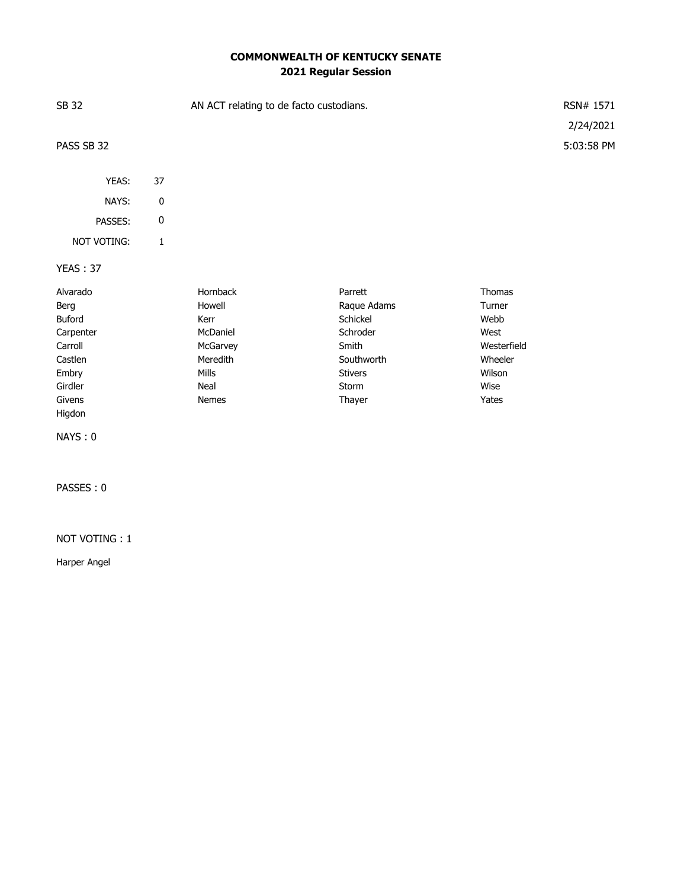# **COMMONWEALTH OF KENTUCKY SENATE 2021 Regular Session**

| SB 32           |           | AN ACT relating to de facto custodians. |                |               | RSN# 1571  |
|-----------------|-----------|-----------------------------------------|----------------|---------------|------------|
|                 |           |                                         |                |               | 2/24/2021  |
| PASS SB 32      |           |                                         |                |               | 5:03:58 PM |
|                 |           |                                         |                |               |            |
| YEAS:           | 37        |                                         |                |               |            |
| NAYS:           | $\pmb{0}$ |                                         |                |               |            |
| PASSES:         | $\pmb{0}$ |                                         |                |               |            |
| NOT VOTING:     | 1         |                                         |                |               |            |
| <b>YEAS: 37</b> |           |                                         |                |               |            |
| Alvarado        |           | Hornback                                | Parrett        | <b>Thomas</b> |            |
| Berg            |           | Howell                                  | Raque Adams    | Turner        |            |
| Buford          |           | Kerr                                    | Schickel       | Webb          |            |
| Carpenter       |           | McDaniel                                | Schroder       | West          |            |
| Carroll         |           | McGarvey                                | Smith          | Westerfield   |            |
| Castlen         |           | Meredith                                | Southworth     | Wheeler       |            |
| Embry           |           | Mills                                   | <b>Stivers</b> | Wilson        |            |
| Girdler         |           | Neal                                    | Storm          | Wise          |            |
| Givens          |           | Nemes                                   | Thayer         | Yates         |            |
| Higdon          |           |                                         |                |               |            |

NAYS : 0

PASSES : 0

### NOT VOTING : 1

Harper Angel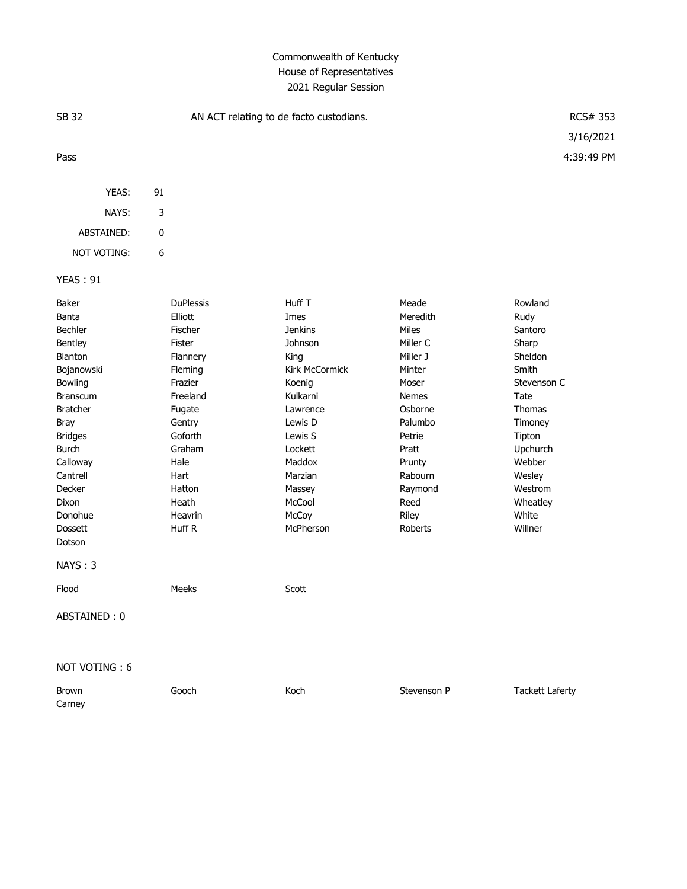# Commonwealth of Kentucky House of Representatives 2021 Regular Session

| <b>SB 32</b>                                                                                                                                                                                                                                                                   |    | AN ACT relating to de facto custodians.                                                                                                                                                                  | RCS# 353                                                                                                                                                                                                         |                                                                                                                                                                                            |                                                                                                                                                                                                 |
|--------------------------------------------------------------------------------------------------------------------------------------------------------------------------------------------------------------------------------------------------------------------------------|----|----------------------------------------------------------------------------------------------------------------------------------------------------------------------------------------------------------|------------------------------------------------------------------------------------------------------------------------------------------------------------------------------------------------------------------|--------------------------------------------------------------------------------------------------------------------------------------------------------------------------------------------|-------------------------------------------------------------------------------------------------------------------------------------------------------------------------------------------------|
|                                                                                                                                                                                                                                                                                |    |                                                                                                                                                                                                          |                                                                                                                                                                                                                  |                                                                                                                                                                                            | 3/16/2021                                                                                                                                                                                       |
| Pass                                                                                                                                                                                                                                                                           |    |                                                                                                                                                                                                          |                                                                                                                                                                                                                  |                                                                                                                                                                                            | 4:39:49 PM                                                                                                                                                                                      |
| YEAS:                                                                                                                                                                                                                                                                          | 91 |                                                                                                                                                                                                          |                                                                                                                                                                                                                  |                                                                                                                                                                                            |                                                                                                                                                                                                 |
| NAYS:                                                                                                                                                                                                                                                                          | 3  |                                                                                                                                                                                                          |                                                                                                                                                                                                                  |                                                                                                                                                                                            |                                                                                                                                                                                                 |
| ABSTAINED:                                                                                                                                                                                                                                                                     | 0  |                                                                                                                                                                                                          |                                                                                                                                                                                                                  |                                                                                                                                                                                            |                                                                                                                                                                                                 |
| NOT VOTING:                                                                                                                                                                                                                                                                    | 6  |                                                                                                                                                                                                          |                                                                                                                                                                                                                  |                                                                                                                                                                                            |                                                                                                                                                                                                 |
| <b>YEAS: 91</b>                                                                                                                                                                                                                                                                |    |                                                                                                                                                                                                          |                                                                                                                                                                                                                  |                                                                                                                                                                                            |                                                                                                                                                                                                 |
| Baker<br>Banta<br>Bechler<br>Bentley<br>Blanton<br>Bojanowski<br>Bowling<br><b>Branscum</b><br><b>Bratcher</b><br><b>Bray</b><br><b>Bridges</b><br>Burch<br>Calloway<br>Cantrell<br>Decker<br>Dixon<br>Donohue<br><b>Dossett</b><br>Dotson<br>NAYS: 3<br>Flood<br>ABSTAINED: 0 |    | <b>DuPlessis</b><br>Elliott<br>Fischer<br>Fister<br>Flannery<br>Fleming<br>Frazier<br>Freeland<br>Fugate<br>Gentry<br>Goforth<br>Graham<br>Hale<br>Hart<br>Hatton<br>Heath<br>Heavrin<br>Huff R<br>Meeks | Huff T<br>Imes<br><b>Jenkins</b><br>Johnson<br>King<br>Kirk McCormick<br>Koenig<br>Kulkarni<br>Lawrence<br>Lewis D<br>Lewis S<br>Lockett<br>Maddox<br>Marzian<br>Massey<br>McCool<br>McCoy<br>McPherson<br>Scott | Meade<br>Meredith<br>Miles<br>Miller C<br>Miller J<br>Minter<br>Moser<br><b>Nemes</b><br>Osborne<br>Palumbo<br>Petrie<br>Pratt<br>Prunty<br>Rabourn<br>Raymond<br>Reed<br>Riley<br>Roberts | Rowland<br>Rudy<br>Santoro<br>Sharp<br>Sheldon<br>Smith<br>Stevenson C<br>Tate<br><b>Thomas</b><br>Timoney<br>Tipton<br>Upchurch<br>Webber<br>Wesley<br>Westrom<br>Wheatley<br>White<br>Willner |
| NOT VOTING: 6                                                                                                                                                                                                                                                                  |    |                                                                                                                                                                                                          |                                                                                                                                                                                                                  |                                                                                                                                                                                            |                                                                                                                                                                                                 |

| Brown  | Gooch | Koch | Stevenson P | <b>Tackett Laferty</b> |
|--------|-------|------|-------------|------------------------|
| Carney |       |      |             |                        |